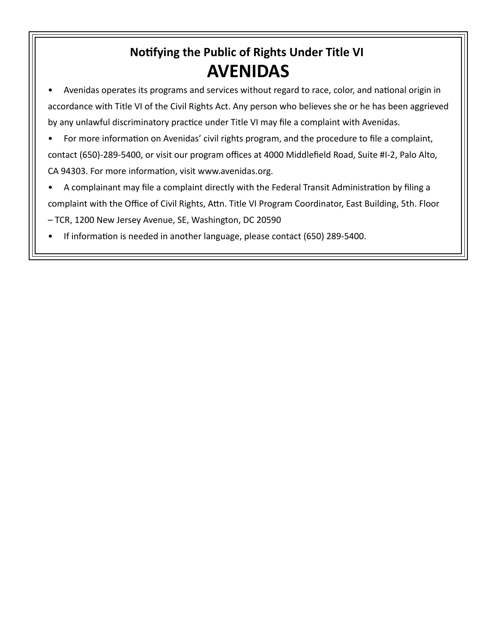## **Notifying the Public of Rights Under Title VI AVENIDAS**

- Avenidas operates its programs and services without regard to race, color, and national origin in accordance with Title VI of the Civil Rights Act. Any person who believes she or he has been aggrieved by any unlawful discriminatory practice under Title VI may file a complaint with Avenidas.
- For more information on Avenidas' civil rights program, and the procedure to file a complaint, contact (650)-289-5400, or visit our program offices at 4000 Middlefield Road, Suite #I-2, Palo Alto, CA 94303. For more information, visit www.avenidas.org.
- A complainant may file a complaint directly with the Federal Transit Administration by filing a complaint with the Office of Civil Rights, Attn. Title VI Program Coordinator, East Building, 5th. Floor – TCR, 1200 New Jersey Avenue, SE, Washington, DC 20590
- If information is needed in another language, please contact (650) 289-5400.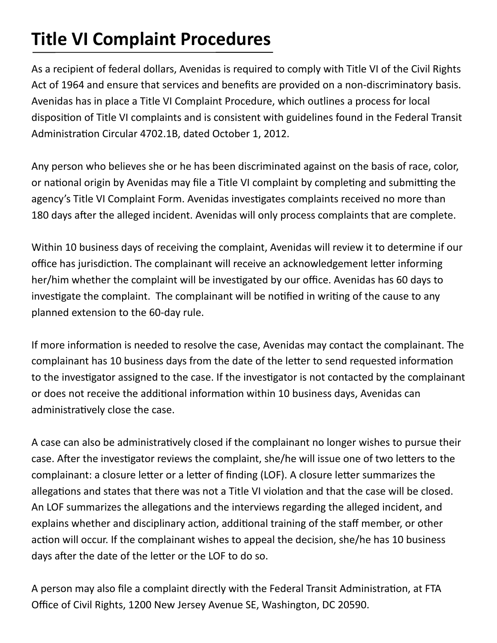## **Title VI Complaint Procedures**

As a recipient of federal dollars, Avenidas is required to comply with Title VI of the Civil Rights Act of 1964 and ensure that services and benefits are provided on a non-discriminatory basis. Avenidas has in place a Title VI Complaint Procedure, which outlines a process for local disposition of Title VI complaints and is consistent with guidelines found in the Federal Transit Administration Circular 4702.1B, dated October 1, 2012.

Any person who believes she or he has been discriminated against on the basis of race, color, or national origin by Avenidas may file a Title VI complaint by completing and submitting the agency's Title VI Complaint Form. Avenidas investigates complaints received no more than 180 days after the alleged incident. Avenidas will only process complaints that are complete.

Within 10 business days of receiving the complaint, Avenidas will review it to determine if our office has jurisdiction. The complainant will receive an acknowledgement letter informing her/him whether the complaint will be investigated by our office. Avenidas has 60 days to investigate the complaint. The complainant will be notified in writing of the cause to any planned extension to the 60-day rule.

If more information is needed to resolve the case, Avenidas may contact the complainant. The complainant has 10 business days from the date of the letter to send requested information to the investigator assigned to the case. If the investigator is not contacted by the complainant or does not receive the additional information within 10 business days, Avenidas can administratively close the case.

A case can also be administratively closed if the complainant no longer wishes to pursue their case. After the investigator reviews the complaint, she/he will issue one of two letters to the complainant: a closure letter or a letter of finding (LOF). A closure letter summarizes the allegations and states that there was not a Title VI violation and that the case will be closed. An LOF summarizes the allegations and the interviews regarding the alleged incident, and explains whether and disciplinary action, additional training of the staff member, or other action will occur. If the complainant wishes to appeal the decision, she/he has 10 business days after the date of the letter or the LOF to do so.

A person may also file a complaint directly with the Federal Transit Administration, at FTA Office of Civil Rights, 1200 New Jersey Avenue SE, Washington, DC 20590.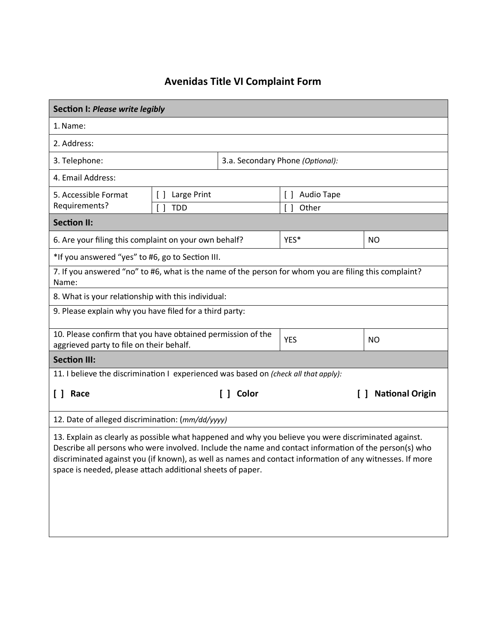## **Avenidas Title VI Co mplaint Form**

| Section I: Please write legibly                                                                                                                                                                                                                                                                                                                                                         |                                                       |                                  |                             |                              |  |  |
|-----------------------------------------------------------------------------------------------------------------------------------------------------------------------------------------------------------------------------------------------------------------------------------------------------------------------------------------------------------------------------------------|-------------------------------------------------------|----------------------------------|-----------------------------|------------------------------|--|--|
| 1. Name:                                                                                                                                                                                                                                                                                                                                                                                |                                                       |                                  |                             |                              |  |  |
| 2. Address:                                                                                                                                                                                                                                                                                                                                                                             |                                                       |                                  |                             |                              |  |  |
| 3. Telephone:                                                                                                                                                                                                                                                                                                                                                                           |                                                       | 3.a. Secondary Phone (Optional): |                             |                              |  |  |
| 4. Email Address:                                                                                                                                                                                                                                                                                                                                                                       |                                                       |                                  |                             |                              |  |  |
| 5. Accessible Format                                                                                                                                                                                                                                                                                                                                                                    | Large Print<br>$\Box$                                 |                                  | <b>Audio Tape</b><br>$\Box$ |                              |  |  |
| Requirements?                                                                                                                                                                                                                                                                                                                                                                           | <b>TDD</b>                                            |                                  | Other<br>$\Box$             |                              |  |  |
| <b>Section II:</b>                                                                                                                                                                                                                                                                                                                                                                      |                                                       |                                  |                             |                              |  |  |
|                                                                                                                                                                                                                                                                                                                                                                                         | 6. Are your filing this complaint on your own behalf? |                                  | YES*                        | <b>NO</b>                    |  |  |
| *If you answered "yes" to #6, go to Section III.                                                                                                                                                                                                                                                                                                                                        |                                                       |                                  |                             |                              |  |  |
| 7. If you answered "no" to #6, what is the name of the person for whom you are filing this complaint?<br>Name:                                                                                                                                                                                                                                                                          |                                                       |                                  |                             |                              |  |  |
| 8. What is your relationship with this individual:                                                                                                                                                                                                                                                                                                                                      |                                                       |                                  |                             |                              |  |  |
| 9. Please explain why you have filed for a third party:                                                                                                                                                                                                                                                                                                                                 |                                                       |                                  |                             |                              |  |  |
| 10. Please confirm that you have obtained permission of the<br>aggrieved party to file on their behalf.                                                                                                                                                                                                                                                                                 |                                                       |                                  | <b>YES</b>                  | <b>NO</b>                    |  |  |
| <b>Section III:</b>                                                                                                                                                                                                                                                                                                                                                                     |                                                       |                                  |                             |                              |  |  |
| 11. I believe the discrimination I experienced was based on (check all that apply):                                                                                                                                                                                                                                                                                                     |                                                       |                                  |                             |                              |  |  |
| [ ] Race                                                                                                                                                                                                                                                                                                                                                                                |                                                       | [ ] Color                        |                             | <b>National Origin</b><br>ΙI |  |  |
| 12. Date of alleged discrimination: (mm/dd/yyyy)                                                                                                                                                                                                                                                                                                                                        |                                                       |                                  |                             |                              |  |  |
| 13. Explain as clearly as possible what happened and why you believe you were discriminated against.<br>Describe all persons who were involved. Include the name and contact information of the person(s) who<br>discriminated against you (if known), as well as names and contact information of any witnesses. If more<br>space is needed, please attach additional sheets of paper. |                                                       |                                  |                             |                              |  |  |